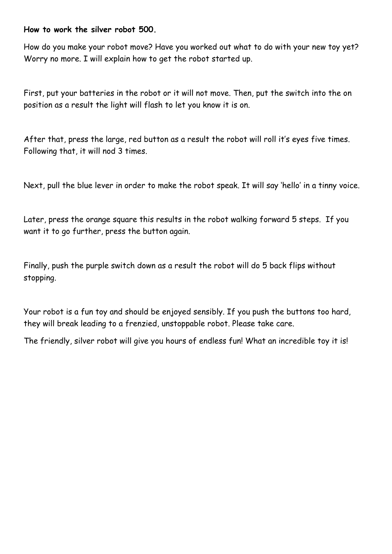## **How to work the silver robot 500.**

How do you make your robot move? Have you worked out what to do with your new toy yet? Worry no more. I will explain how to get the robot started up.

First, put your batteries in the robot or it will not move. Then, put the switch into the on position as a result the light will flash to let you know it is on.

After that, press the large, red button as a result the robot will roll it's eyes five times. Following that, it will nod 3 times.

Next, pull the blue lever in order to make the robot speak. It will say 'hello' in a tinny voice.

Later, press the orange square this results in the robot walking forward 5 steps. If you want it to go further, press the button again.

Finally, push the purple switch down as a result the robot will do 5 back flips without stopping.

Your robot is a fun toy and should be enjoyed sensibly. If you push the buttons too hard, they will break leading to a frenzied, unstoppable robot. Please take care.

The friendly, silver robot will give you hours of endless fun! What an incredible toy it is!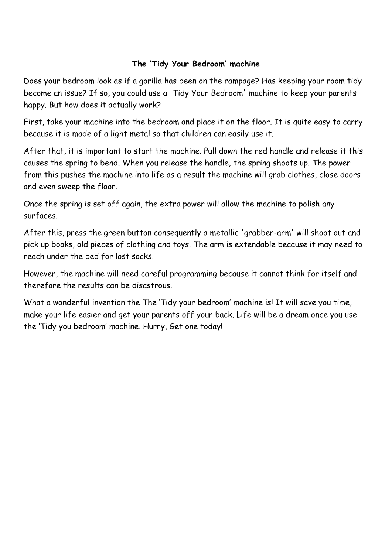## **The 'Tidy Your Bedroom' machine**

Does your bedroom look as if a gorilla has been on the rampage? Has keeping your room tidy become an issue? If so, you could use a 'Tidy Your Bedroom' machine to keep your parents happy. But how does it actually work?

First, take your machine into the bedroom and place it on the floor. It is quite easy to carry because it is made of a light metal so that children can easily use it.

After that, it is important to start the machine. Pull down the red handle and release it this causes the spring to bend. When you release the handle, the spring shoots up. The power from this pushes the machine into life as a result the machine will grab clothes, close doors and even sweep the floor.

Once the spring is set off again, the extra power will allow the machine to polish any surfaces.

After this, press the green button consequently a metallic 'grabber-arm' will shoot out and pick up books, old pieces of clothing and toys. The arm is extendable because it may need to reach under the bed for lost socks.

However, the machine will need careful programming because it cannot think for itself and therefore the results can be disastrous.

What a wonderful invention the The 'Tidy your bedroom' machine is! It will save you time, make your life easier and get your parents off your back. Life will be a dream once you use the 'Tidy you bedroom' machine. Hurry, Get one today!